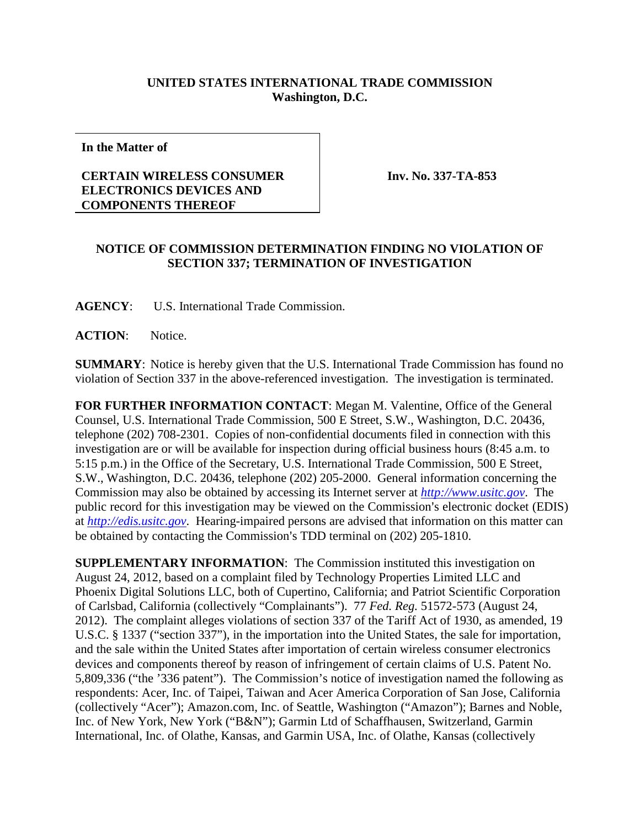## **UNITED STATES INTERNATIONAL TRADE COMMISSION Washington, D.C.**

**In the Matter of**

## **CERTAIN WIRELESS CONSUMER ELECTRONICS DEVICES AND COMPONENTS THEREOF**

**Inv. No. 337-TA-853**

## **NOTICE OF COMMISSION DETERMINATION FINDING NO VIOLATION OF SECTION 337; TERMINATION OF INVESTIGATION**

**AGENCY**: U.S. International Trade Commission.

**ACTION**: Notice.

**SUMMARY**: Notice is hereby given that the U.S. International Trade Commission has found no violation of Section 337 in the above-referenced investigation. The investigation is terminated.

**FOR FURTHER INFORMATION CONTACT**: Megan M. Valentine, Office of the General Counsel, U.S. International Trade Commission, 500 E Street, S.W., Washington, D.C. 20436, telephone (202) 708-2301. Copies of non-confidential documents filed in connection with this investigation are or will be available for inspection during official business hours (8:45 a.m. to 5:15 p.m.) in the Office of the Secretary, U.S. International Trade Commission, 500 E Street, S.W., Washington, D.C. 20436, telephone (202) 205-2000. General information concerning the Commission may also be obtained by accessing its Internet server at *[http://www.usitc.gov](http://www.usitc.gov/)*. The public record for this investigation may be viewed on the Commission's electronic docket (EDIS) at *[http://edis.usitc.gov](http://edis.usitc.gov/)*. Hearing-impaired persons are advised that information on this matter can be obtained by contacting the Commission's TDD terminal on (202) 205-1810.

**SUPPLEMENTARY INFORMATION**: The Commission instituted this investigation on August 24, 2012, based on a complaint filed by Technology Properties Limited LLC and Phoenix Digital Solutions LLC, both of Cupertino, California; and Patriot Scientific Corporation of Carlsbad, California (collectively "Complainants"). 77 *Fed. Reg.* 51572-573 (August 24, 2012). The complaint alleges violations of section 337 of the Tariff Act of 1930, as amended, 19 U.S.C. § 1337 ("section 337"), in the importation into the United States, the sale for importation, and the sale within the United States after importation of certain wireless consumer electronics devices and components thereof by reason of infringement of certain claims of U.S. Patent No. 5,809,336 ("the '336 patent"). The Commission's notice of investigation named the following as respondents: Acer, Inc. of Taipei, Taiwan and Acer America Corporation of San Jose, California (collectively "Acer"); Amazon.com, Inc. of Seattle, Washington ("Amazon"); Barnes and Noble, Inc. of New York, New York ("B&N"); Garmin Ltd of Schaffhausen, Switzerland, Garmin International, Inc. of Olathe, Kansas, and Garmin USA, Inc. of Olathe, Kansas (collectively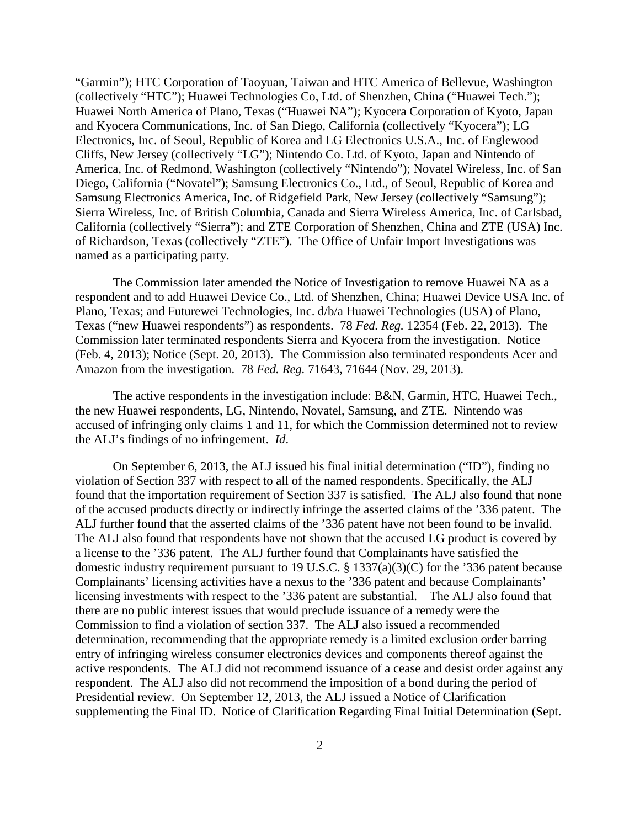"Garmin"); HTC Corporation of Taoyuan, Taiwan and HTC America of Bellevue, Washington (collectively "HTC"); Huawei Technologies Co, Ltd. of Shenzhen, China ("Huawei Tech."); Huawei North America of Plano, Texas ("Huawei NA"); Kyocera Corporation of Kyoto, Japan and Kyocera Communications, Inc. of San Diego, California (collectively "Kyocera"); LG Electronics, Inc. of Seoul, Republic of Korea and LG Electronics U.S.A., Inc. of Englewood Cliffs, New Jersey (collectively "LG"); Nintendo Co. Ltd. of Kyoto, Japan and Nintendo of America, Inc. of Redmond, Washington (collectively "Nintendo"); Novatel Wireless, Inc. of San Diego, California ("Novatel"); Samsung Electronics Co., Ltd., of Seoul, Republic of Korea and Samsung Electronics America, Inc. of Ridgefield Park, New Jersey (collectively "Samsung"); Sierra Wireless, Inc. of British Columbia, Canada and Sierra Wireless America, Inc. of Carlsbad, California (collectively "Sierra"); and ZTE Corporation of Shenzhen, China and ZTE (USA) Inc. of Richardson, Texas (collectively "ZTE"). The Office of Unfair Import Investigations was named as a participating party.

The Commission later amended the Notice of Investigation to remove Huawei NA as a respondent and to add Huawei Device Co., Ltd. of Shenzhen, China; Huawei Device USA Inc. of Plano, Texas; and Futurewei Technologies, Inc. d/b/a Huawei Technologies (USA) of Plano, Texas ("new Huawei respondents") as respondents. 78 *Fed. Reg.* 12354 (Feb. 22, 2013). The Commission later terminated respondents Sierra and Kyocera from the investigation. Notice (Feb. 4, 2013); Notice (Sept. 20, 2013). The Commission also terminated respondents Acer and Amazon from the investigation. 78 *Fed. Reg.* 71643, 71644 (Nov. 29, 2013).

The active respondents in the investigation include: B&N, Garmin, HTC, Huawei Tech., the new Huawei respondents, LG, Nintendo, Novatel, Samsung, and ZTE. Nintendo was accused of infringing only claims 1 and 11, for which the Commission determined not to review the ALJ's findings of no infringement. *Id*.

On September 6, 2013, the ALJ issued his final initial determination ("ID"), finding no violation of Section 337 with respect to all of the named respondents. Specifically, the ALJ found that the importation requirement of Section 337 is satisfied. The ALJ also found that none of the accused products directly or indirectly infringe the asserted claims of the '336 patent. The ALJ further found that the asserted claims of the '336 patent have not been found to be invalid. The ALJ also found that respondents have not shown that the accused LG product is covered by a license to the '336 patent. The ALJ further found that Complainants have satisfied the domestic industry requirement pursuant to 19 U.S.C. § 1337(a)(3)(C) for the '336 patent because Complainants' licensing activities have a nexus to the '336 patent and because Complainants' licensing investments with respect to the '336 patent are substantial. The ALJ also found that there are no public interest issues that would preclude issuance of a remedy were the Commission to find a violation of section 337.The ALJ also issued a recommended determination, recommending that the appropriate remedy is a limited exclusion order barring entry of infringing wireless consumer electronics devices and components thereof against the active respondents. The ALJ did not recommend issuance of a cease and desist order against any respondent. The ALJ also did not recommend the imposition of a bond during the period of Presidential review. On September 12, 2013, the ALJ issued a Notice of Clarification supplementing the Final ID. Notice of Clarification Regarding Final Initial Determination (Sept.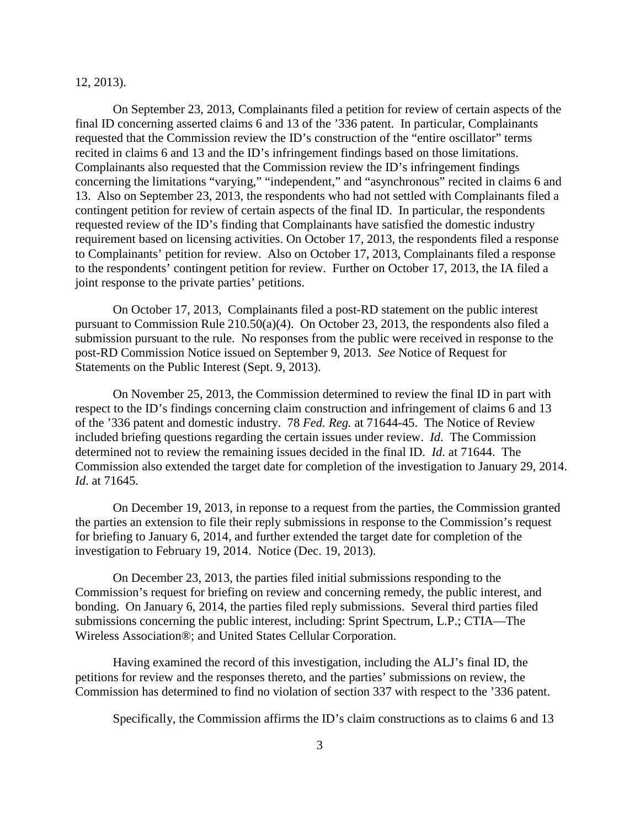12, 2013).

On September 23, 2013, Complainants filed a petition for review of certain aspects of the final ID concerning asserted claims 6 and 13 of the '336 patent. In particular, Complainants requested that the Commission review the ID's construction of the "entire oscillator" terms recited in claims 6 and 13 and the ID's infringement findings based on those limitations. Complainants also requested that the Commission review the ID's infringement findings concerning the limitations "varying," "independent," and "asynchronous" recited in claims 6 and 13.Also on September 23, 2013, the respondents who had not settled with Complainants filed a contingent petition for review of certain aspects of the final ID.In particular, the respondents requested review of the ID's finding that Complainants have satisfied the domestic industry requirement based on licensing activities. On October 17, 2013, the respondents filed a response to Complainants' petition for review. Also on October 17, 2013, Complainants filed a response to the respondents' contingent petition for review. Further on October 17, 2013, the IA filed a joint response to the private parties' petitions.

On October 17, 2013, Complainants filed a post-RD statement on the public interest pursuant to Commission Rule 210.50(a)(4). On October 23, 2013, the respondents also filed a submission pursuant to the rule.No responses from the public were received in response to the post-RD Commission Notice issued on September 9, 2013. *See* Notice of Request for Statements on the Public Interest (Sept. 9, 2013).

On November 25, 2013, the Commission determined to review the final ID in part with respect to the ID's findings concerning claim construction and infringement of claims 6 and 13 of the '336 patent and domestic industry. 78 *Fed. Reg.* at 71644-45. The Notice of Review included briefing questions regarding the certain issues under review. *Id*. The Commission determined not to review the remaining issues decided in the final ID. *Id*. at 71644. The Commission also extended the target date for completion of the investigation to January 29, 2014. *Id*. at 71645.

On December 19, 2013, in reponse to a request from the parties, the Commission granted the parties an extension to file their reply submissions in response to the Commission's request for briefing to January 6, 2014, and further extended the target date for completion of the investigation to February 19, 2014. Notice (Dec. 19, 2013).

On December 23, 2013, the parties filed initial submissions responding to the Commission's request for briefing on review and concerning remedy, the public interest, and bonding. On January 6, 2014, the parties filed reply submissions. Several third parties filed submissions concerning the public interest, including: Sprint Spectrum, L.P.; CTIA—The Wireless Association®; and United States Cellular Corporation.

Having examined the record of this investigation, including the ALJ's final ID, the petitions for review and the responses thereto, and the parties' submissions on review, the Commission has determined to find no violation of section 337 with respect to the '336 patent.

Specifically, the Commission affirms the ID's claim constructions as to claims 6 and 13